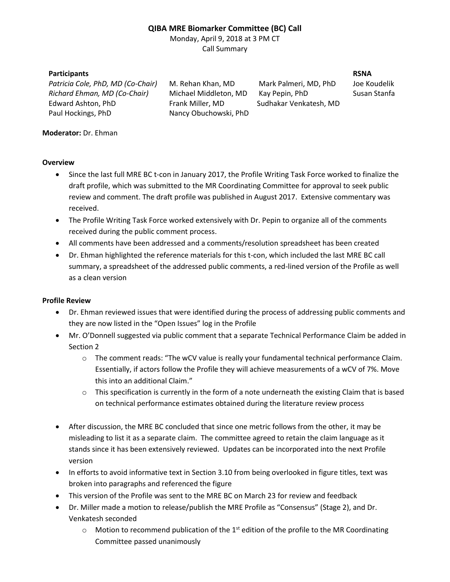# **QIBA MRE Biomarker Committee (BC) Call**

Monday, April 9, 2018 at 3 PM CT Call Summary

## **Participants RSNA**

*Patricia Cole, PhD, MD (Co-Chair)* M. Rehan Khan, MD Mark Palmeri, MD, PhD Joe Koudelik *Richard Ehman, MD (Co-Chair)* Michael Middleton, MD Kay Pepin, PhD Susan Stanfa Edward Ashton, PhD Frank Miller, MD Sudhakar Venkatesh, MD Paul Hockings, PhD Nancy Obuchowski, PhD

## **Moderator:** Dr. Ehman

### **Overview**

- Since the last full MRE BC t-con in January 2017, the Profile Writing Task Force worked to finalize the draft profile, which was submitted to the MR Coordinating Committee for approval to seek public review and comment. The draft profile was published in August 2017. Extensive commentary was received.
- The Profile Writing Task Force worked extensively with Dr. Pepin to organize all of the comments received during the public comment process.
- All comments have been addressed and a comments/resolution spreadsheet has been created
- Dr. Ehman highlighted the reference materials for this t-con, which included the last MRE BC call summary, a spreadsheet of the addressed public comments, a red-lined version of the Profile as well as a clean version

### **Profile Review**

- Dr. Ehman reviewed issues that were identified during the process of addressing public comments and they are now listed in the "Open Issues" log in the Profile
- Mr. O'Donnell suggested via public comment that a separate Technical Performance Claim be added in Section 2
	- o The comment reads: "The wCV value is really your fundamental technical performance Claim. Essentially, if actors follow the Profile they will achieve measurements of a wCV of 7%. Move this into an additional Claim."
	- $\circ$  This specification is currently in the form of a note underneath the existing Claim that is based on technical performance estimates obtained during the literature review process
- After discussion, the MRE BC concluded that since one metric follows from the other, it may be misleading to list it as a separate claim. The committee agreed to retain the claim language as it stands since it has been extensively reviewed. Updates can be incorporated into the next Profile version
- In efforts to avoid informative text in Section 3.10 from being overlooked in figure titles, text was broken into paragraphs and referenced the figure
- This version of the Profile was sent to the MRE BC on March 23 for review and feedback
- Dr. Miller made a motion to release/publish the MRE Profile as "Consensus" (Stage 2), and Dr. Venkatesh seconded
	- $\circ$  Motion to recommend publication of the 1<sup>st</sup> edition of the profile to the MR Coordinating Committee passed unanimously